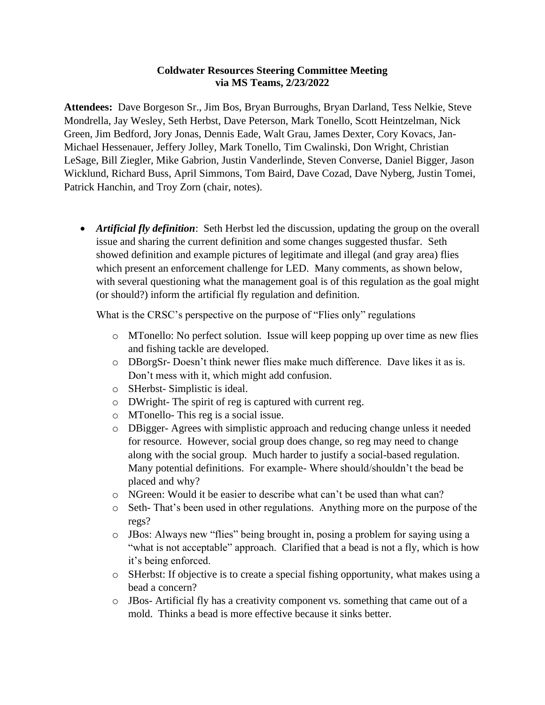## **Coldwater Resources Steering Committee Meeting via MS Teams, 2/23/2022**

**Attendees:** Dave Borgeson Sr., Jim Bos, Bryan Burroughs, Bryan Darland, Tess Nelkie, Steve Mondrella, Jay Wesley, Seth Herbst, Dave Peterson, Mark Tonello, Scott Heintzelman, Nick Green, Jim Bedford, Jory Jonas, Dennis Eade, Walt Grau, James Dexter, Cory Kovacs, Jan-Michael Hessenauer, Jeffery Jolley, Mark Tonello, Tim Cwalinski, Don Wright, Christian LeSage, Bill Ziegler, Mike Gabrion, Justin Vanderlinde, Steven Converse, Daniel Bigger, Jason Wicklund, Richard Buss, April Simmons, Tom Baird, Dave Cozad, Dave Nyberg, Justin Tomei, Patrick Hanchin, and Troy Zorn (chair, notes).

• *Artificial fly definition*: Seth Herbst led the discussion, updating the group on the overall issue and sharing the current definition and some changes suggested thusfar. Seth showed definition and example pictures of legitimate and illegal (and gray area) flies which present an enforcement challenge for LED. Many comments, as shown below, with several questioning what the management goal is of this regulation as the goal might (or should?) inform the artificial fly regulation and definition.

What is the CRSC's perspective on the purpose of "Flies only" regulations

- o MTonello: No perfect solution. Issue will keep popping up over time as new flies and fishing tackle are developed.
- o DBorgSr- Doesn't think newer flies make much difference. Dave likes it as is. Don't mess with it, which might add confusion.
- o SHerbst- Simplistic is ideal.
- o DWright- The spirit of reg is captured with current reg.
- o MTonello- This reg is a social issue.
- o DBigger- Agrees with simplistic approach and reducing change unless it needed for resource. However, social group does change, so reg may need to change along with the social group. Much harder to justify a social-based regulation. Many potential definitions. For example- Where should/shouldn't the bead be placed and why?
- o NGreen: Would it be easier to describe what can't be used than what can?
- o Seth- That's been used in other regulations. Anything more on the purpose of the regs?
- o JBos: Always new "flies" being brought in, posing a problem for saying using a "what is not acceptable" approach. Clarified that a bead is not a fly, which is how it's being enforced.
- o SHerbst: If objective is to create a special fishing opportunity, what makes using a bead a concern?
- o JBos- Artificial fly has a creativity component vs. something that came out of a mold. Thinks a bead is more effective because it sinks better.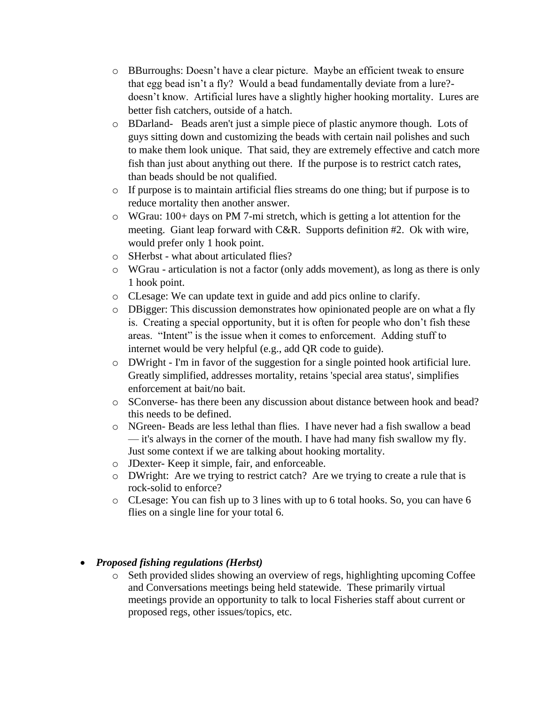- o BBurroughs: Doesn't have a clear picture. Maybe an efficient tweak to ensure that egg bead isn't a fly? Would a bead fundamentally deviate from a lure? doesn't know. Artificial lures have a slightly higher hooking mortality. Lures are better fish catchers, outside of a hatch.
- o BDarland- Beads aren't just a simple piece of plastic anymore though. Lots of guys sitting down and customizing the beads with certain nail polishes and such to make them look unique. That said, they are extremely effective and catch more fish than just about anything out there. If the purpose is to restrict catch rates, than beads should be not qualified.
- o If purpose is to maintain artificial flies streams do one thing; but if purpose is to reduce mortality then another answer.
- o WGrau: 100+ days on PM 7-mi stretch, which is getting a lot attention for the meeting. Giant leap forward with C&R. Supports definition #2. Ok with wire, would prefer only 1 hook point.
- o SHerbst what about articulated flies?
- o WGrau articulation is not a factor (only adds movement), as long as there is only 1 hook point.
- o CLesage: We can update text in guide and add pics online to clarify.
- o DBigger: This discussion demonstrates how opinionated people are on what a fly is. Creating a special opportunity, but it is often for people who don't fish these areas. "Intent" is the issue when it comes to enforcement. Adding stuff to internet would be very helpful (e.g., add QR code to guide).
- o DWright I'm in favor of the suggestion for a single pointed hook artificial lure. Greatly simplified, addresses mortality, retains 'special area status', simplifies enforcement at bait/no bait.
- o SConverse- has there been any discussion about distance between hook and bead? this needs to be defined.
- o NGreen- Beads are less lethal than flies. I have never had a fish swallow a bead — it's always in the corner of the mouth. I have had many fish swallow my fly. Just some context if we are talking about hooking mortality.
- o JDexter- Keep it simple, fair, and enforceable.
- o DWright: Are we trying to restrict catch? Are we trying to create a rule that is rock-solid to enforce?
- o CLesage: You can fish up to 3 lines with up to 6 total hooks. So, you can have 6 flies on a single line for your total 6.

## • *Proposed fishing regulations (Herbst)*

o Seth provided slides showing an overview of regs, highlighting upcoming Coffee and Conversations meetings being held statewide. These primarily virtual meetings provide an opportunity to talk to local Fisheries staff about current or proposed regs, other issues/topics, etc.